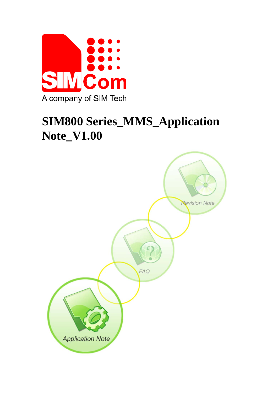

# **SIM800 Series\_MMS\_Application Note\_V1.00**

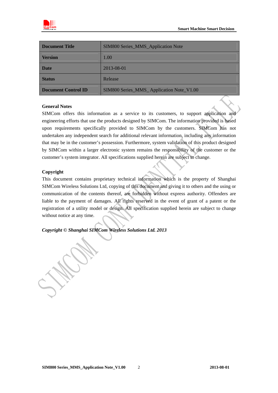

| Document Title      | <b>SIM800 Series_MMS_Application Note</b> |  |
|---------------------|-------------------------------------------|--|
| <b>Version</b>      | 1.00                                      |  |
| <b>Date</b>         | 2013-08-01                                |  |
| <b>Status</b>       | Release                                   |  |
| Document Control ID | SIM800 Series_MMS_Application Note_V1.00  |  |

#### **General Notes**

SIMCom offers this information as a service to its customers, to support application and engineering efforts that use the products designed by SIMCom. The information provided is based upon requirements specifically provided to SIMCom by the customers. SIMCom has not undertaken any independent search for additional relevant information, including any information that may be in the customer's possession. Furthermore, system validation of this product designed by SIMCom within a larger electronic system remains the responsibility of the customer or the customer's system integrator. All specifications supplied herein are subject to change.

#### **Copyright**

This document contains proprietary technical information which is the property of Shanghai SIMCom Wireless Solutions Ltd, copying of this document and giving it to others and the using or communication of the contents thereof, are forbidden without express authority. Offenders are liable to the payment of damages. All rights reserved in the event of grant of a patent or the registration of a utility model or design. All specification supplied herein are subject to change without notice at any time.

*Copyright © Shanghai SIMCom Wireless Solutions Ltd. 2013*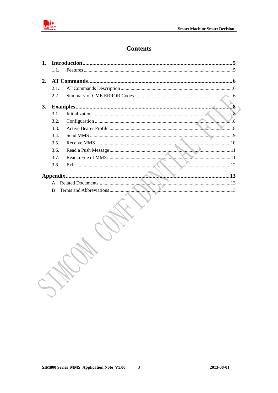

# **Contents**

| $\mathbf{1}$ . |              |                                                                                                                                                                                                                                |
|----------------|--------------|--------------------------------------------------------------------------------------------------------------------------------------------------------------------------------------------------------------------------------|
|                | 1.1.         |                                                                                                                                                                                                                                |
| 2.             |              |                                                                                                                                                                                                                                |
|                | 2.1.         |                                                                                                                                                                                                                                |
|                | 2.2.         |                                                                                                                                                                                                                                |
| 3.             |              |                                                                                                                                                                                                                                |
|                | 3.1.         |                                                                                                                                                                                                                                |
|                | 3.2.         | $\mathcal{L}$ .8                                                                                                                                                                                                               |
|                | 3.3.         |                                                                                                                                                                                                                                |
|                | 3.4.         |                                                                                                                                                                                                                                |
|                | 3.5.         |                                                                                                                                                                                                                                |
|                | 3.6.         |                                                                                                                                                                                                                                |
|                | 3.7.         |                                                                                                                                                                                                                                |
|                | 3.8.         |                                                                                                                                                                                                                                |
|                |              | and and the contract of the contract of the contract of the contract of the contract of the contract of the contract of the contract of the contract of the contract of the contract of the contract of the contract of the co |
|                | $\mathsf{A}$ |                                                                                                                                                                                                                                |
|                | <sub>B</sub> |                                                                                                                                                                                                                                |
|                |              |                                                                                                                                                                                                                                |

W.C.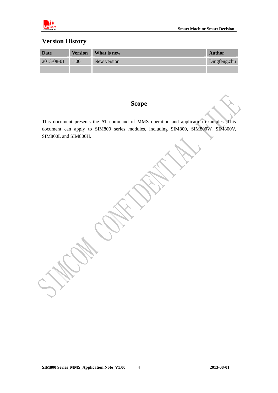

# **Version History**

| <b>Date</b>      |      | <b>Version</b> What is new | <b>Author</b> |
|------------------|------|----------------------------|---------------|
| $2013 - 08 - 01$ | 1.00 | New version                | Dingfeng.zhu  |
|                  |      |                            |               |

## **Scope**

This document presents the AT command of MMS operation and application examples. This document can apply to SIM800 series modules, including SIM800, SIM800W, SIM800V, SIM800L and SIM800H.

**SIM800 Series\_MMS\_Application Note\_V1.00 2013-08-01** 4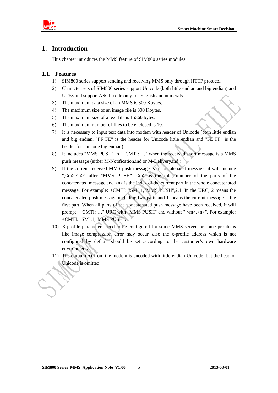<span id="page-4-0"></span>

## **1. Introduction**

This chapter introduces the MMS feature of SIM800 series modules.

#### **1.1. Features**

- 1) SIM800 series support sending and receiving MMS only through HTTP protocol.
- 2) Character sets of SIM800 series support Unicode (both little endian and big endian) and UTF8 and support ASCII code only for English and numerals.
- 3) The maximum data size of an MMS is 300 Kbytes.
- 4) The maximum size of an image file is 300 Kbytes.
- 5) The maximum size of a text file is 15360 bytes.
- 6) The maximum number of files to be enclosed is 10.
- 7) It is necessary to input text data into modem with header of Unicode (both little endian and big endian, "FF FE" is the header for Unicode little endian and "FE FF" is the header for Unicode big endian).
- 8) It includes "MMS PUSH" in "+CMTI: …" when the received short message is a MMS push message (either M-Notification.ind or M-Delivery.ind ).
- 9) If the current received MMS push message is a concatenated message, it will include ",  $\langle m \rangle$ ,  $\langle n \rangle$ " after "MMS PUSH".  $\langle m \rangle$  is the total number of the parts of the concatenated message and  $\langle n \rangle$  is the index of the current part in the whole concatenated message. For example: +CMTI: "SM",1,"MMS PUSH",2,1. In the URC, 2 means the concatenated push message including two parts and 1 means the current message is the first part. When all parts of the concatenated push message have been received, it will prompt "+CMTI: …" URC with "MMS PUSH" and without ",<m>,<n>". For example: +CMTI: "SM",1,"MMS PUSH".
- 10) X-profile parameters need to be configured for some MMS server, or some problems like image compression error may occur, also the x-profile address which is not configured by default should be set according to the customer's own hardware environment.
- 11) The output text from the modem is encoded with little endian Unicode, but the head of Unicode is omitted.

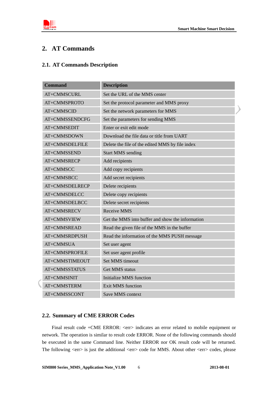$\mathcal Y$ 

<span id="page-5-0"></span>

## **2. AT Commands**

#### **2.1. AT Commands Description**

| <b>Command</b>     | <b>Description</b>                               |
|--------------------|--------------------------------------------------|
| <b>AT+CMMSCURL</b> | Set the URL of the MMS center                    |
| AT+CMMSPROTO       | Set the protocol parameter and MMS proxy         |
| AT+CMMSCID         | Set the network parameters for MMS               |
| AT+CMMSSENDCFG     | Set the parameters for sending MMS               |
| AT+CMMSEDIT        | Enter or exit edit mode                          |
| AT+CMMSDOWN        | Download the file data or title from UART        |
| AT+CMMSDELFILE     | Delete the file of the edited MMS by file index  |
| AT+CMMSSEND        | <b>Start MMS</b> sending                         |
| AT+CMMSRECP        | Add recipients                                   |
| AT+CMMSCC          | Add copy recipients                              |
| AT+CMMSBCC         | Add secret recipients                            |
| AT+CMMSDELRECP     | Delete recipients                                |
| AT+CMMSDELCC       | Delete copy recipients                           |
| AT+CMMSDELBCC      | Delete secret recipients                         |
| AT+CMMSRECV        | Receive MMS                                      |
| AT+CMMSVIEW        | Get the MMS into buffer and show the information |
| AT+CMMSREAD        | Read the given file of the MMS in the buffer     |
| AT+CMMSRDPUSH      | Read the information of the MMS PUSH message     |
| AT+CMMSUA          | Set user agent                                   |
| AT+CMMSPROFILE     | Set user agent profile                           |
| AT+CMMSTIMEOUT     | <b>Set MMS</b> timeout                           |
| AT+CMMSSTATUS      | <b>Get MMS</b> status                            |
| AT+CMMSINIT        | <b>Initialize MMS</b> function                   |
| AT+CMMSTERM        | <b>Exit MMS</b> function                         |
| AT+CMMSSCONT       | Save MMS context                                 |

#### **2.2. Summary of CME ERROR Codes**

Final result code +CME ERROR: <err> indicates an error related to mobile equipment or network. The operation is similar to result code ERROR. None of the following commands should be executed in the same Command line. Neither ERROR nor OK result code will be returned. The following <err> is just the additional <err> code for MMS. About other <err> codes, please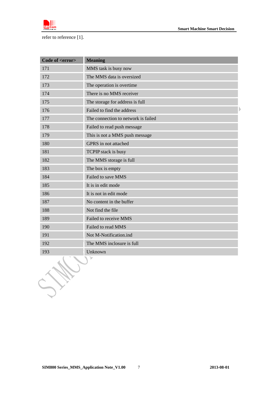

refer to reference [1].

| Code of <error></error> | <b>Meaning</b>                      |  |
|-------------------------|-------------------------------------|--|
| 171                     | MMS task is busy now                |  |
| 172                     | The MMS data is oversized           |  |
| 173                     | The operation is overtime           |  |
| 174                     | There is no MMS receiver            |  |
| 175                     | The storage for address is full     |  |
| 176                     | Failed to find the address          |  |
| 177                     | The connection to network is failed |  |
| 178                     | Failed to read push message         |  |
| 179                     | This is not a MMS push message      |  |
| 180                     | GPRS in not attached                |  |
| 181                     | TCPIP stack is busy                 |  |
| 182                     | The MMS storage is full             |  |
| 183                     | The box is empty                    |  |
| 184                     | Failed to save MMS                  |  |
| 185                     | It is in edit mode                  |  |
| 186                     | It is not in edit mode              |  |
| 187                     | No content in the buffer            |  |
| 188                     | Not find the file                   |  |
| 189                     | Failed to receive MMS               |  |
| 190                     | Failed to read MMS                  |  |
| 191                     | Not M-Notification.ind              |  |
| 192                     | The MMS inclosure is full           |  |
| 193                     | Unknown                             |  |
|                         |                                     |  |

SH.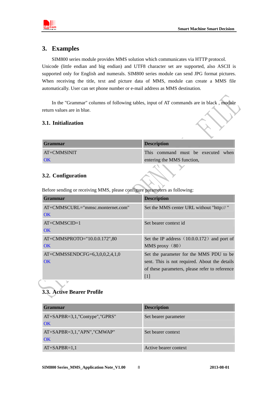<span id="page-7-0"></span>

## **3. Examples**

SIM800 series module provides MMS solution which communicates via HTTP protocol. Unicode (little endian and big endian) and UTF8 character set are supported, also ASCII is supported only for English and numerals. SIM800 series module can send JPG format pictures. When receiving the title, text and picture data of MMS, module can create a MMS file automatically. User can set phone number or e-mail address as MMS destination.

In the "Grammar" columns of following tables, input of AT commands are in black , module return values are in blue.

#### **3.1. Initialization**

| <b>Grammar</b> | <b>Description</b>                 |
|----------------|------------------------------------|
| AT+CMMSINIT    | This command must be executed when |
| OK             | entering the MMS function,         |

#### **3.2. Configuration**

Before sending or receiving MMS, please configure parameters as following:

| Grammar                              | <b>Description</b>                             |
|--------------------------------------|------------------------------------------------|
| $AT+CMMSCURL = "mmsc.monternet.com"$ | Set the MMS center URL without "http://"       |
| OK                                   |                                                |
| $AT+CMMSCID=1$                       | Set bearer context id.                         |
| OK                                   |                                                |
| AT+CMMSPROTO="10.0.0.172",80         | Set the IP address $(10.0.0.172)$ and port of  |
| OK                                   | MMS proxy $(80)$                               |
| $AT+CMMSSENDCFG=6,3,0,0,2,4,1,0$     | Set the parameter for the MMS PDU to be        |
| OK                                   | sent. This is not required. About the details  |
|                                      | of these parameters, please refer to reference |
|                                      | $[1]$                                          |

# **3.3. Active Bearer Profile**

| <b>Grammar</b>                            | <b>Description</b>    |
|-------------------------------------------|-----------------------|
| $AT+SAPBR = 3,1,$ "Contype", "GPRS"<br>OK | Set bearer parameter  |
| $AT+SAPBR = 3,1, "APN", "CMWAP"$<br>OK    | Set bearer context    |
| $AT+SAPBR=1,1$                            | Active bearer context |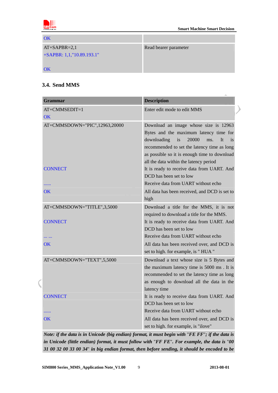<span id="page-8-0"></span>

| OK                           |                       |
|------------------------------|-----------------------|
| $AT+SAPBR=2,1$               | Read bearer parameter |
| $+SAPBR: 1,1, "10.89.193.1"$ |                       |
|                              |                       |
| OK                           |                       |

## **3.4. Send MMS**

| <b>Grammar</b>                | <b>Description</b>                                                                                                                                                                                                                                                               |
|-------------------------------|----------------------------------------------------------------------------------------------------------------------------------------------------------------------------------------------------------------------------------------------------------------------------------|
| AT+CMMSEDIT=1<br>OK           | Enter edit mode to edit MMS                                                                                                                                                                                                                                                      |
| AT+CMMSDOWN="PIC",12963,20000 | Download an image whose size is 12963<br>Bytes and the maximum latency time for<br>downloading<br>20000<br>is<br>It<br>ms.<br><i>is</i><br>recommended to set the latency time as long<br>as possible so it is enough time to download<br>all the data within the latency period |
| <b>CONNECT</b>                | It is ready to receive data from UART. And<br>DCD has been set to low                                                                                                                                                                                                            |
|                               | Receive data from UART without echo                                                                                                                                                                                                                                              |
| OK                            | All data has been received, and DCD is set to<br>high                                                                                                                                                                                                                            |
| AT+CMMSDOWN="TITLE",3,5000    | Download a title for the MMS, it is not<br>required to download a title for the MMS.                                                                                                                                                                                             |
| <b>CONNECT</b>                | It is ready to receive data from UART. And<br>DCD has been set to low                                                                                                                                                                                                            |
| .                             | Receive data from UART without echo                                                                                                                                                                                                                                              |
| <b>OK</b>                     | All data has been received over, and DCD is                                                                                                                                                                                                                                      |
|                               | set to high. for example, is "HUA"                                                                                                                                                                                                                                               |
| AT+CMMSDOWN="TEXT",5,5000     | Download a text whose size is 5 Bytes and                                                                                                                                                                                                                                        |
|                               | the maximum latency time is 5000 ms. It is                                                                                                                                                                                                                                       |
|                               | recommended to set the latency time as long                                                                                                                                                                                                                                      |
|                               | as enough to download all the data in the                                                                                                                                                                                                                                        |
|                               | latency time                                                                                                                                                                                                                                                                     |
| <b>CONNECT</b>                | It is ready to receive data from UART. And                                                                                                                                                                                                                                       |
|                               | DCD has been set to low                                                                                                                                                                                                                                                          |
|                               | Receive data from UART without echo                                                                                                                                                                                                                                              |
| OK                            | All data has been received over, and DCD is                                                                                                                                                                                                                                      |
|                               | set to high. for example, is "ilove"                                                                                                                                                                                                                                             |

*Note: if the data is in Unicode (big endian) format, it must begin with* "*FE FF*"*; if the data is in Unicode (little endian) format, it must follow with* "*FF FE*"*. For example, the data is* "*00 31 00 32 00 33 00 34*" *in big endian format, then before sending, it should be encoded to be*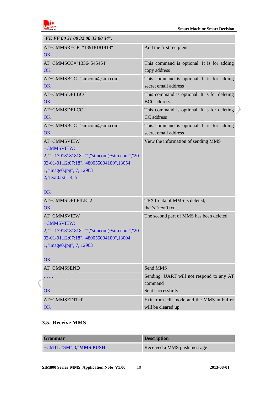<span id="page-9-0"></span>

 $\lambda$ 

| "FE FF 00 31 00 32 00 33 00 34".                         |                                                                    |
|----------------------------------------------------------|--------------------------------------------------------------------|
| AT+CMMSRECP="13918181818"<br>OK                          | Add the first recipient                                            |
| AT+CMMSCC="13564545454"<br>OK                            | This command is optional. It is for adding<br>copy address         |
|                                                          |                                                                    |
| AT+CMMSBCC="simcom@sim.com"<br>OK                        | This command is optional. It is for adding<br>secret email address |
|                                                          |                                                                    |
| AT+CMMSDELBCC                                            | This command is optional. It is for deleting<br><b>BCC</b> address |
| OK                                                       |                                                                    |
| AT+CMMSDELCC<br><b>OK</b>                                | This command is optional. It is for deleting<br>CC address         |
|                                                          |                                                                    |
| AT+CMMSBCC="simcom@sim.com"<br>OK                        | This command is optional. It is for adding<br>secret email address |
|                                                          |                                                                    |
| AT+CMMSVIEW                                              | View the information of sending MMS                                |
| +CMMSVIEW:<br>2,"","13918181818","","simcom@sim.com","20 |                                                                    |
| 03-01-01,12:07:18","480055004100",13054                  |                                                                    |
| 1, "image0.jpg", 7, 12963                                |                                                                    |
| 2, "text0.txt", 4, 5                                     |                                                                    |
|                                                          |                                                                    |
| OK                                                       |                                                                    |
| AT+CMMSDELFILE=2                                         | TEXT data of MMS is deleted,                                       |
| OK                                                       | that's "text0.txt"                                                 |
| AT+CMMSVIEW                                              | The second part of MMS has been deleted                            |
| +CMMSVIEW:                                               |                                                                    |
| 2,"","13918181818","","simcom@sim.com","20               |                                                                    |
| 03-01-01,12:07:18","480055004100",13004                  |                                                                    |
| 1,"image0.jpg", 7, 12963                                 |                                                                    |
| OK                                                       |                                                                    |
| AT+CMMSSEND                                              | Send MMS                                                           |
|                                                          | Sending, UART will not respond to any AT                           |
|                                                          | command                                                            |
| <b>OK</b>                                                | Sent successfully                                                  |
| AT+CMMSEDIT=0                                            | Exit from edit mode and the MMS in buffer                          |
| OK                                                       | will be cleared up                                                 |

#### **3.5. Receive MMS**

| <b>Grammar</b>                    | <b>Description</b>          |
|-----------------------------------|-----------------------------|
| +CMTI: "SM",3," <b>MMS PUSH</b> " | Received a MMS push message |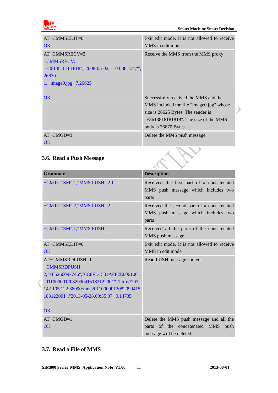<span id="page-10-0"></span>

 $\begin{array}{c} \hline \end{array}$ 

 $\mathcal{E}$ 

| $AT+CMMSEDIT=0$<br>OK                                                                                                        | Exit edit mode. It is not allowed to receive<br>MMS in edit mode                                                                                                                           |
|------------------------------------------------------------------------------------------------------------------------------|--------------------------------------------------------------------------------------------------------------------------------------------------------------------------------------------|
| $AT+CMMSRECV=3$<br>+CMMSRECV:<br>$"+8613818181818"$ , "2008-05-02,<br>$03:38:12$ ", ""<br>26670<br>1, "image0.jpg", 7, 26625 | Receive the MMS from the MMS proxy                                                                                                                                                         |
| OK                                                                                                                           | Successfully received the MMS and the<br>MMS included the file "image0.jpg" whose<br>size is 26625 Bytes. The sender is<br>$"+8613818181818"$ . The size of the MMS<br>body is 26670 Bytes |
| $AT+CMGD=3$<br>OK.                                                                                                           | Delete the MMS push message                                                                                                                                                                |

# **3.6. Read a Push Message**

| Grammar                                                                                                                                                                                                                       | <b>Description</b>                                                                                       |  |  |
|-------------------------------------------------------------------------------------------------------------------------------------------------------------------------------------------------------------------------------|----------------------------------------------------------------------------------------------------------|--|--|
| +CMTI: "SM",1,"MMS PUSH",2,1                                                                                                                                                                                                  | Received the first part of a concatenated<br>MMS push message which includes two<br>parts                |  |  |
| +CMTI: "SM",2, "MMS PUSH",2,2                                                                                                                                                                                                 | Received the second part of a concatenated<br>MMS push message which includes two<br>parts               |  |  |
| +CMTI: "SM",1,"MMS PUSH"                                                                                                                                                                                                      | Received all the parts of the concatenated<br>MMS push message                                           |  |  |
| $AT+CMMSEDIT=0$                                                                                                                                                                                                               | Exit edit mode. It is not allowed to receive                                                             |  |  |
| $\overline{\text{OK}}$                                                                                                                                                                                                        | MMS in edit mode                                                                                         |  |  |
| AT+CMMSRDPUSH=1<br>+CMMSRDPUSH:<br>2,"+85266097746","6C8FD1531AFF2E006100",<br>"0110000012082090415183122001","http://203.<br>142.105.122:38090/mms/0110000012082090415<br>183122001", "2013-05-28, 09:35:37", 0, 14735<br>OK | Read PUSH message content                                                                                |  |  |
| $AT+CMGD=1$<br>OK                                                                                                                                                                                                             | Delete the MMS push message and all the<br>parts of the concatenated MMS push<br>message will be deleted |  |  |

#### **3.7. Read a File of MMS**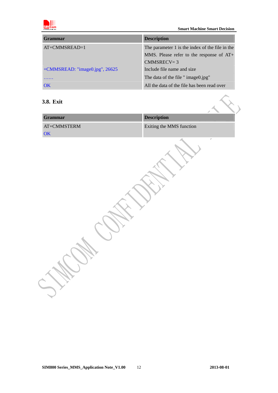<span id="page-11-0"></span>

| <b>Grammar</b>                    | <b>Description</b>                                                                                              |
|-----------------------------------|-----------------------------------------------------------------------------------------------------------------|
| AT+CMMSREAD=1                     | The parameter 1 is the index of the file in the<br>MMS. Please refer to the response of $AT+$<br>$CMMSRECV = 3$ |
| $+$ CMMSREAD: "image0.jpg", 26625 | Include file name and size                                                                                      |
|                                   | The data of the file " image 0.jpg"                                                                             |
| $\overline{\text{OK}}$            | All the data of the file has been read over                                                                     |

#### **3.8. Exit**

| 3.8. Exit           |                          |          |
|---------------------|--------------------------|----------|
| <b>Grammar</b>      | <b>Description</b>       |          |
| $AT+CMMSTERM$<br>OK | Exiting the MMS function |          |
|                     |                          | $\sigma$ |
|                     |                          |          |
|                     |                          |          |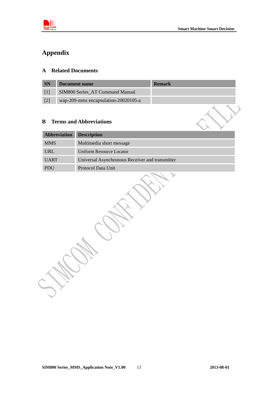<span id="page-12-0"></span>

# **Appendix**

## **A Related Documents**

| <b>SN</b> | Document name                        | <b>Remark</b> |
|-----------|--------------------------------------|---------------|
|           | SIM800 Series AT Command Manual      |               |
|           | wap-209-mms encapsulation-20020105-a |               |

## **B Terms and Abbreviations**

| Abbreviation | <b>Description</b>                              |  |
|--------------|-------------------------------------------------|--|
| <b>MMS</b>   | Multimedia short message                        |  |
| <b>URL</b>   | Uniform Resource Locator                        |  |
| <b>UART</b>  | Universal Asynchronous Receiver and transmitter |  |
| <b>PDU</b>   | Protocol Data Unit                              |  |